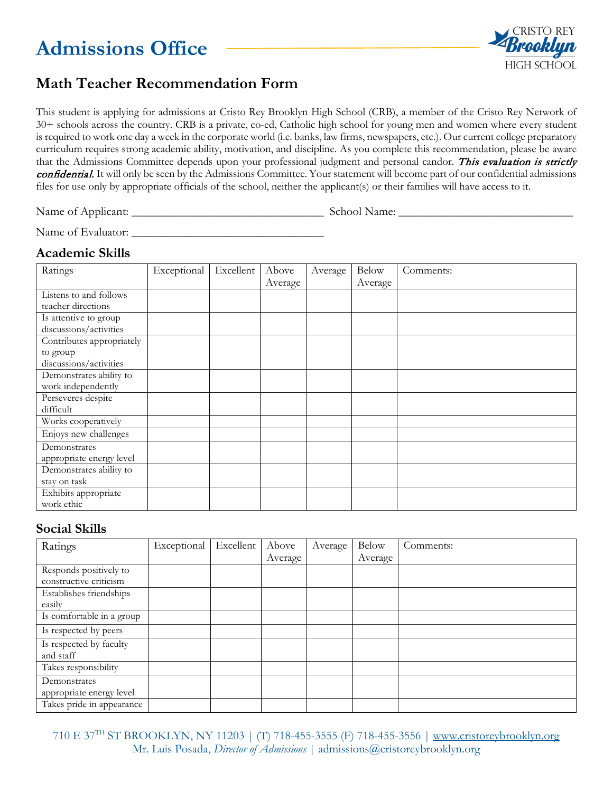# **Admissions Office**



## **Math Teacher Recommendation Form**

This student is applying for admissions at Cristo Rey Brooklyn High School (CRB), a member of the Cristo Rey Network of 30+ schools across the country. CRB is a private, co-ed, Catholic high school for young men and women where every student is required to work one day a week in the corporate world (i.e. banks, law firms, newspapers, etc.). Our current college preparatory curriculum requires strong academic ability, motivation, and discipline. As you complete this recommendation, please be aware that the Admissions Committee depends upon your professional judgment and personal candor. This evaluation is strictly confidential. It will only be seen by the Admissions Committee. Your statement will become part of our confidential admissions files for use only by appropriate officials of the school, neither the applicant(s) or their families will have access to it.

Name of Applicant: \_\_\_\_\_\_\_\_\_\_\_\_\_\_\_\_\_\_\_\_\_\_\_\_\_\_\_\_\_\_\_\_ School Name: \_\_\_\_\_\_\_\_\_\_\_\_\_\_\_\_\_\_\_\_\_\_\_\_\_\_\_\_\_

Name of Evaluator: \_\_\_\_\_\_\_\_\_\_\_\_\_\_\_\_\_\_\_\_\_\_\_\_\_\_\_\_\_\_\_\_

### **Academic Skills**

| Ratings                   | Exceptional | Excellent | Above   | Average | <b>Below</b> | Comments: |
|---------------------------|-------------|-----------|---------|---------|--------------|-----------|
|                           |             |           | Average |         | Average      |           |
| Listens to and follows    |             |           |         |         |              |           |
| teacher directions        |             |           |         |         |              |           |
| Is attentive to group     |             |           |         |         |              |           |
| discussions/activities    |             |           |         |         |              |           |
| Contributes appropriately |             |           |         |         |              |           |
| to group                  |             |           |         |         |              |           |
| discussions/activities    |             |           |         |         |              |           |
| Demonstrates ability to   |             |           |         |         |              |           |
| work independently        |             |           |         |         |              |           |
| Perseveres despite        |             |           |         |         |              |           |
| difficult                 |             |           |         |         |              |           |
| Works cooperatively       |             |           |         |         |              |           |
| Enjoys new challenges     |             |           |         |         |              |           |
| Demonstrates              |             |           |         |         |              |           |
| appropriate energy level  |             |           |         |         |              |           |
| Demonstrates ability to   |             |           |         |         |              |           |
| stay on task              |             |           |         |         |              |           |
| Exhibits appropriate      |             |           |         |         |              |           |
| work ethic                |             |           |         |         |              |           |

### **Social Skills**

| Ratings                   | Exceptional | Excellent | Above   | Average | <b>Below</b> | Comments: |
|---------------------------|-------------|-----------|---------|---------|--------------|-----------|
|                           |             |           | Average |         | Average      |           |
| Responds positively to    |             |           |         |         |              |           |
| constructive criticism    |             |           |         |         |              |           |
| Establishes friendships   |             |           |         |         |              |           |
| easily                    |             |           |         |         |              |           |
| Is comfortable in a group |             |           |         |         |              |           |
| Is respected by peers     |             |           |         |         |              |           |
| Is respected by faculty   |             |           |         |         |              |           |
| and staff                 |             |           |         |         |              |           |
| Takes responsibility      |             |           |         |         |              |           |
| Demonstrates              |             |           |         |         |              |           |
| appropriate energy level  |             |           |         |         |              |           |
| Takes pride in appearance |             |           |         |         |              |           |

710 E 37TH ST BROOKLYN, NY 11203 | (T) 718-455-3555 (F) 718-455-3556 | [www.cristoreybrooklyn.org](http://www.cristoreybrooklyn.org/) Mr. Luis Posada, *Director of Admissions* | admissions@cristoreybrooklyn.org